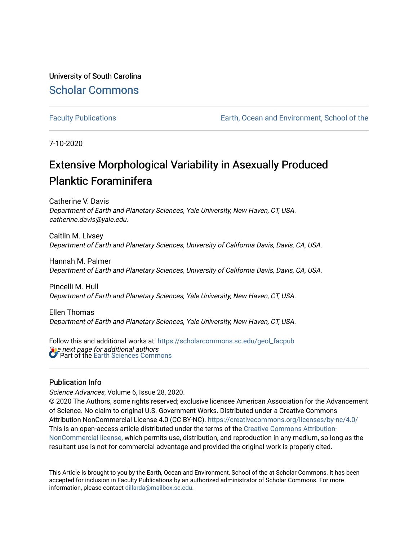University of South Carolina [Scholar Commons](https://scholarcommons.sc.edu/) 

[Faculty Publications](https://scholarcommons.sc.edu/geol_facpub) [Earth, Ocean and Environment, School of the](https://scholarcommons.sc.edu/geol) 

7-10-2020

# Extensive Morphological Variability in Asexually Produced Planktic Foraminifera

Catherine V. Davis Department of Earth and Planetary Sciences, Yale University, New Haven, CT, USA. catherine.davis@yale.edu.

Caitlin M. Livsey Department of Earth and Planetary Sciences, University of California Davis, Davis, CA, USA.

Hannah M. Palmer Department of Earth and Planetary Sciences, University of California Davis, Davis, CA, USA.

Pincelli M. Hull Department of Earth and Planetary Sciences, Yale University, New Haven, CT, USA.

Ellen Thomas Department of Earth and Planetary Sciences, Yale University, New Haven, CT, USA.

**S** a next page for additional authors Follow this and additional works at: [https://scholarcommons.sc.edu/geol\\_facpub](https://scholarcommons.sc.edu/geol_facpub?utm_source=scholarcommons.sc.edu%2Fgeol_facpub%2F144&utm_medium=PDF&utm_campaign=PDFCoverPages)  Part of the [Earth Sciences Commons](http://network.bepress.com/hgg/discipline/153?utm_source=scholarcommons.sc.edu%2Fgeol_facpub%2F144&utm_medium=PDF&utm_campaign=PDFCoverPages) 

### Publication Info

Science Advances, Volume 6, Issue 28, 2020.

© 2020 The Authors, some rights reserved; exclusive licensee American Association for the Advancement of Science. No claim to original U.S. Government Works. Distributed under a Creative Commons Attribution NonCommercial License 4.0 (CC BY-NC). <https://creativecommons.org/licenses/by-nc/4.0/> This is an open-access article distributed under the terms of the [Creative Commons Attribution-](https://creativecommons.org/licenses/by-nc/4.0/)[NonCommercial license](https://creativecommons.org/licenses/by-nc/4.0/), which permits use, distribution, and reproduction in any medium, so long as the resultant use is not for commercial advantage and provided the original work is properly cited.

This Article is brought to you by the Earth, Ocean and Environment, School of the at Scholar Commons. It has been accepted for inclusion in Faculty Publications by an authorized administrator of Scholar Commons. For more information, please contact [dillarda@mailbox.sc.edu.](mailto:dillarda@mailbox.sc.edu)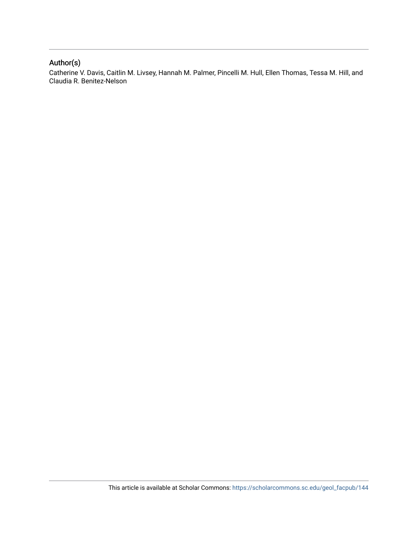# Author(s)

Catherine V. Davis, Caitlin M. Livsey, Hannah M. Palmer, Pincelli M. Hull, Ellen Thomas, Tessa M. Hill, and Claudia R. Benitez-Nelson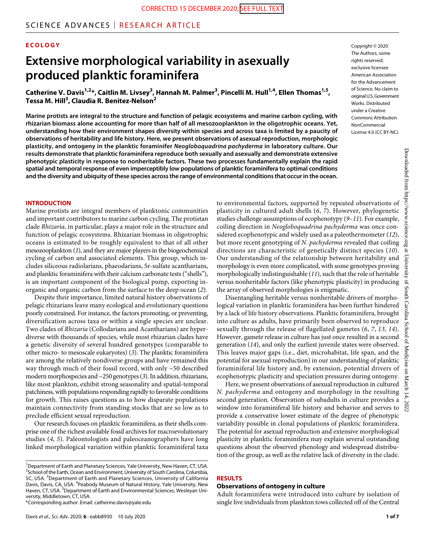## SCIENCE ADVANCES | RESEARCH ARTICLE

#### **ECOLOGY**

# **Extensive morphological variability in asexually produced planktic foraminifera**

**Catherine V. Davis1,2\*, Caitlin M. Livsey3 , Hannah M. Palmer3 , Pincelli M. Hull1,4, Ellen Thomas1,5, Tessa M. Hill3 , Claudia R. Benitez-Nelson2**

**Marine protists are integral to the structure and function of pelagic ecosystems and marine carbon cycling, with rhizarian biomass alone accounting for more than half of all mesozooplankton in the oligotrophic oceans. Yet, understanding how their environment shapes diversity within species and across taxa is limited by a paucity of observations of heritability and life history. Here, we present observations of asexual reproduction, morphologic plasticity, and ontogeny in the planktic foraminifer** *Neogloboquadrina pachyderma* **in laboratory culture. Our results demonstrate that planktic foraminifera reproduce both sexually and asexually and demonstrate extensive phenotypic plasticity in response to nonheritable factors. These two processes fundamentally explain the rapid spatial and temporal response of even imperceptibly low populations of planktic foraminifera to optimal conditions and the diversity and ubiquity of these species across the range of environmental conditions that occur in the ocean.**

#### **INTRODUCTION**

Marine protists are integral members of planktonic communities and important contributors to marine carbon cycling. The protistan clade *Rhizaria*, in particular, plays a major role in the structure and function of pelagic ecosystems. Rhizarian biomass in oligotrophic oceans is estimated to be roughly equivalent to that of all other mesozooplankton (*1*), and they are major players in the biogeochemical cycling of carbon and associated elements. This group, which includes siliceous radiolarians, phaeodarians, Sr-sulfate acantharians, and planktic foraminifera with their calcium carbonate tests ("shells"), is an important component of the biological pump, exporting inorganic and organic carbon from the surface to the deep ocean (*2*).

Despite their importance, limited natural history observations of pelagic rhizarians leave many ecological and evolutionary questions poorly constrained. For instance, the factors promoting, or preventing, diversification across taxa or within a single species are unclear. Two clades of *Rhizaria* (Collodarians and Acantharians) are hyperdiverse with thousands of species, while most rhizarian clades have a genetic diversity of several hundred genotypes (comparable to other micro- to mesoscale eukaryotes) (*3*). The planktic foraminifera are among the relatively nondiverse groups and have remained this way through much of their fossil record, with only ~50 described modern morphospecies and ~250 genotypes (*3*). In addition, rhizarians, like most plankton, exhibit strong seasonality and spatial-temporal patchiness, with populations responding rapidly to favorable conditions for growth. This raises questions as to how disparate populations maintain connectivity from standing stocks that are so low as to preclude efficient sexual reproduction.

Our research focuses on planktic foraminifera, as their shells comprise one of the richest available fossil archives for macroevolutionary studies (*4*, *5*). Paleontologists and paleoceanographers have long linked morphological variation within planktic foraminiferal taxa

\*Corresponding author. Email: catherine.davis@yale.edu

Copyright © 2020 The Authors, some rights reserved: exclusive licensee American Association for the Advancement of Science. No claim to original U.S.Government Works. Distributed under a Creative Commons Attribution **NonCommercial** License 4.0 (CC BY-NC).

to environmental factors, supported by repeated observations of plasticity in cultured adult shells (*6*, *7*). However, phylogenetic studies challenge assumptions of ecophenotypy (*9*–*11*). For example, coiling direction in *Neogloboquadrina pachyderma* was once considered ecophenotypic and widely used as a paleothermometer (*12*), but more recent genotyping of *N. pachyderma* revealed that coiling directions are characteristic of genetically distinct species (*10*). Our understanding of the relationship between heritability and morphology is even more complicated, with some genotypes proving morphologically indistinguishable (*11*), such that the role of heritable versus nonheritable factors (like phenotypic plasticity) in producing the array of observed morphologies is enigmatic.

Disentangling heritable versus nonheritable drivers of morphological variation in planktic foraminifera has been further hindered by a lack of life history observations. Planktic foraminifera, brought into culture as adults, have primarily been observed to reproduce sexually through the release of flagellated gametes (*6*, *7*, *13*, *14*). However, gamete release in culture has just once resulted in a second generation (*14*), and only the earliest juvenile states were observed. This leaves major gaps (i.e., diet, microhabitat, life span, and the potential for asexual reproduction) in our understanding of planktic foraminiferal life history and, by extension, potential drivers of ecophenotypic plasticity and speciation pressures during ontogeny.

Here, we present observations of asexual reproduction in cultured *N. pachyderma* and ontogeny and morphology in the resulting second generation. Observation of subadults in culture provides a window into foraminiferal life history and behavior and serves to provide a conservative lower estimate of the degree of phenotypic variability possible in clonal populations of planktic foraminifera. The potential for asexual reproduction and extensive morphological plasticity in planktic foraminifera may explain several outstanding questions about the observed phenology and widespread distribution of the group, as well as the relative lack of diversity in the clade.

#### **RESULTS**

#### **Observations of ontogeny in culture**

Adult foraminifera were introduced into culture by isolation of single live individuals from plankton tows collected off of the Central

<sup>&</sup>lt;sup>1</sup>Department of Earth and Planetary Sciences, Yale University, New Haven, CT, USA. <sup>2</sup> School of the Earth, Ocean and Environment, University of South Carolina, Columbia, SC, USA. <sup>3</sup>Department of Earth and Planetary Sciences, University of California Davis, Davis, CA, USA. <sup>4</sup> Peabody Museum of Natural History, Yale University, New Haven, CT, USA. <sup>5</sup>Department of Earth and Environmental Sciences, Wesleyan University, Middletown, CT, USA.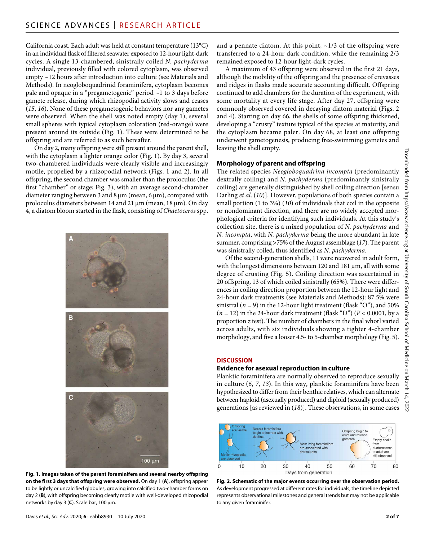California coast. Each adult was held at constant temperature (13°C) in an individual flask of filtered seawater exposed to 12-hour light-dark cycles. A single 13-chambered, sinistrally coiled *N. pachyderma* individual, previously filled with colored cytoplasm, was observed empty ~12 hours after introduction into culture (see Materials and Methods). In neogloboquadrinid foraminifera, cytoplasm becomes pale and opaque in a "pregametogenic" period ~1 to 3 days before gamete release, during which rhizopodial activity slows and ceases (*15*, *16*). None of these pregametogenic behaviors nor any gametes were observed. When the shell was noted empty (day 1), several small spheres with typical cytoplasm coloration (red-orange) were present around its outside (Fig. 1). These were determined to be offspring and are referred to as such hereafter.

On day 2, many offspring were still present around the parent shell, with the cytoplasm a lighter orange color (Fig. 1). By day 3, several two-chambered individuals were clearly visible and increasingly motile, propelled by a rhizopodial network (Figs. 1 and 2). In all offspring, the second chamber was smaller than the proloculus (the first "chamber" or stage; Fig. 3), with an average second-chamber diameter ranging between 3 and 8  $\mu$ m (mean, 6  $\mu$ m), compared with proloculus diameters between 14 and 21  $\mu$ m (mean, 18  $\mu$ m). On day 4, a diatom bloom started in the flask, consisting of *Chaetoceros* spp.



**Fig. 1. Images taken of the parent foraminifera and several nearby offspring on the first 3 days that offspring were observed.** On day 1 (**A**), offspring appear to be lightly or uncalcified globules, growing into calcified two-chamber forms on day 2 (**B**), with offspring becoming clearly motile with well-developed rhizopodial networks by day 3 (C). Scale bar, 100 μm.

and a pennate diatom. At this point,  $\sim$ 1/3 of the offspring were transferred to a 24-hour dark condition, while the remaining 2/3 remained exposed to 12-hour light-dark cycles.

A maximum of 43 offspring were observed in the first 21 days, although the mobility of the offspring and the presence of crevasses and ridges in flasks made accurate accounting difficult. Offspring continued to add chambers for the duration of the experiment, with some mortality at every life stage. After day 27, offspring were commonly observed covered in decaying diatom material (Figs. 2 and 4). Starting on day 66, the shells of some offspring thickened, developing a "crusty" texture typical of the species at maturity, and the cytoplasm became paler. On day 68, at least one offspring underwent gametogenesis, producing free-swimming gametes and leaving the shell empty.

#### **Morphology of parent and offspring**

The related species *Neogloboquadrina incompta* (predominantly dextrally coiling) and *N. pachyderma* (predominantly sinistrally coiling) are generally distinguished by shell coiling direction [sensu Darling *et al*. (*10*)]. However, populations of both species contain a small portion (1 to 3%) (*10*) of individuals that coil in the opposite or nondominant direction, and there are no widely accepted morphological criteria for identifying such individuals. At this study's collection site, there is a mixed population of *N. pachyderma* and *N. incompta*, with *N. pachyderma* being the more abundant in late summer, comprising >75% of the August assemblage (*17*). The parent was sinistrally coiled, thus identified as *N. pachyderma*.

Of the second-generation shells, 11 were recovered in adult form, with the longest dimensions between 120 and 181 µm, all with some degree of crusting (Fig. 5). Coiling direction was ascertained in 20 offspring, 13 of which coiled sinistrally (65%). There were differences in coiling direction proportion between the 12-hour light and 24-hour dark treatments (see Materials and Methods): 87.5% were sinistral ( $n = 9$ ) in the 12-hour light treatment (flask "O"), and 50%  $(n = 12)$  in the 24-hour dark treatment (flask "D") ( $P < 0.0001$ , by a proportion *z* test). The number of chambers in the final whorl varied across adults, with six individuals showing a tighter 4-chamber morphology, and five a looser 4.5- to 5-chamber morphology (Fig. 5).

#### **DISCUSSION**

#### **Evidence for asexual reproduction in culture**

Planktic foraminifera are normally observed to reproduce sexually in culture (*6*, *7*, *13*). In this way, planktic foraminifera have been hypothesized to differ from their benthic relatives, which can alternate between haploid (asexually produced) and diploid (sexually produced) generations [as reviewed in (*18*)]. These observations, in some cases



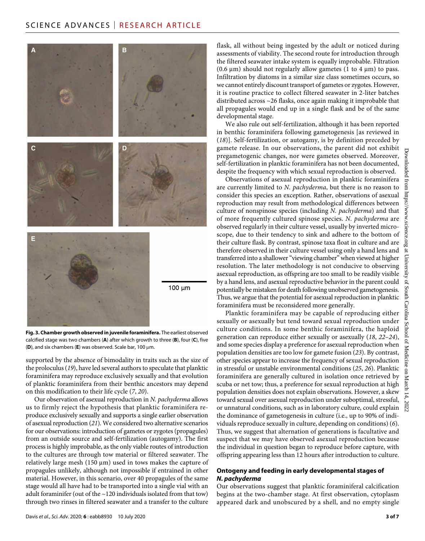

**Fig. 3. Chamber growth observed in juvenile foraminifera.** The earliest observed calcified stage was two chambers (**A**) after which growth to three (**B**), four (**C**), five  $(D)$ , and six chambers  $(E)$  was observed. Scale bar, 100  $\mu$ m.

supported by the absence of bimodality in traits such as the size of the proloculus (*19*), have led several authors to speculate that planktic foraminifera may reproduce exclusively sexually and that evolution of planktic foraminifera from their benthic ancestors may depend on this modification to their life cycle (*7*, *20*).

Our observation of asexual reproduction in *N. pachyderma* allows us to firmly reject the hypothesis that planktic foraminifera reproduce exclusively sexually and supports a single earlier observation of asexual reproduction (*21*). We considered two alternative scenarios for our observations: introduction of gametes or zygotes (propagules) from an outside source and self-fertilization (autogamy). The first process is highly improbable, as the only viable routes of introduction to the cultures are through tow material or filtered seawater. The relatively large mesh (150  $\mu$ m) used in tows makes the capture of propagules unlikely, although not impossible if entrained in other material. However, in this scenario, over 40 propagules of the same stage would all have had to be transported into a single vial with an adult foraminifer (out of the  $\sim$ 120 individuals isolated from that tow) through two rinses in filtered seawater and a transfer to the culture

flask, all without being ingested by the adult or noticed during assessments of viability. The second route for introduction through the filtered seawater intake system is equally improbable. Filtration (0.6  $\mu$ m) should not regularly allow gametes (1 to 4  $\mu$ m) to pass. Infiltration by diatoms in a similar size class sometimes occurs, so we cannot entirely discount transport of gametes or zygotes. However, it is routine practice to collect filtered seawater in 2-liter batches distributed across ~26 flasks, once again making it improbable that all propagules would end up in a single flask and be of the same developmental stage.

We also rule out self-fertilization, although it has been reported in benthic foraminifera following gametogenesis [as reviewed in (*18*)]. Self-fertilization, or autogamy, is by definition preceded by gamete release. In our observations, the parent did not exhibit pregametogenic changes, nor were gametes observed. Moreover, self-fertilization in planktic foraminifera has not been documented, despite the frequency with which sexual reproduction is observed.

Observations of asexual reproduction in planktic foraminifera are currently limited to *N. pachyderma*, but there is no reason to consider this species an exception. Rather, observations of asexual reproduction may result from methodological differences between culture of nonspinose species (including *N. pachyderma*) and that of more frequently cultured spinose species. *N. pachyderma* are observed regularly in their culture vessel, usually by inverted microscope, due to their tendency to sink and adhere to the bottom of their culture flask. By contrast, spinose taxa float in culture and are  $\frac{5}{10}$ therefore observed in their culture vessel using only a hand lens and  $\approx$ transferred into a shallower "viewing chamber" when viewed at higher resolution. The later methodology is not conducive to observing asexual reproduction, as offspring are too small to be readily visible by a hand lens, and asexual reproductive behavior in the parent could potentially be mistaken for death following unobserved gametogenesis. Thus, we argue that the potential for asexual reproduction in planktic foraminifera must be reconsidered more generally.

Planktic foraminifera may be capable of reproducing either sexually or asexually but tend toward sexual reproduction under culture conditions. In some benthic foraminifera, the haploid generation can reproduce either sexually or asexually (*18*, *22*–*24*), and some species display a preference for asexual reproduction when population densities are too low for gamete fusion (*23*). By contrast, other species appear to increase the frequency of sexual reproduction in stressful or unstable environmental conditions (*25*, *26*). Planktic foraminifera are generally cultured in isolation once retrieved by scuba or net tow; thus, a preference for sexual reproduction at high population densities does not explain observations. However, a skew toward sexual over asexual reproduction under suboptimal, stressful, or unnatural conditions, such as in laboratory culture, could explain the dominance of gametogenesis in culture (i.e., up to 90% of individuals reproduce sexually in culture, depending on conditions) (*6*). Thus, we suggest that alternation of generations is facultative and suspect that we may have observed asexual reproduction because the individual in question began to reproduce before capture, with offspring appearing less than 12 hours after introduction to culture.

#### **Ontogeny and feeding in early developmental stages of** *N. pachyderma*

Our observations suggest that planktic foraminiferal calcification begins at the two-chamber stage. At first observation, cytoplasm appeared dark and unobscured by a shell, and no empty single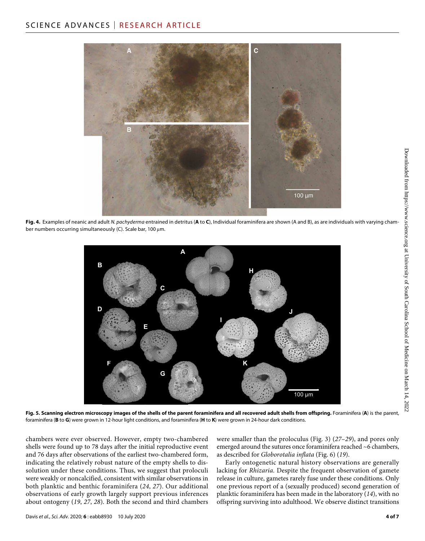

**Fig. 4.** Examples of neanic and adult *N. pachyderma* entrained in detritus (**A** to **C**), Individual foraminifera are shown (A and B), as are individuals with varying chamber numbers occurring simultaneously (C). Scale bar, 100  $\mu$ m.



**Fig. 5. Scanning electron microscopy images of the shells of the parent foraminifera and all recovered adult shells from offspring.** Foraminifera (**A**) is the parent, foraminifera (**B** to **G**) were grown in 12-hour light conditions, and foraminifera (**H** to **K**) were grown in 24-hour dark conditions.

chambers were ever observed. However, empty two-chambered shells were found up to 78 days after the initial reproductive event and 76 days after observations of the earliest two-chambered form, indicating the relatively robust nature of the empty shells to dissolution under these conditions. Thus, we suggest that proloculi were weakly or noncalcified, consistent with similar observations in both planktic and benthic foraminifera (*24*, *27*). Our additional observations of early growth largely support previous inferences about ontogeny (*19*, *27*, *28*). Both the second and third chambers

were smaller than the proloculus (Fig. 3) (*27*–*29*), and pores only emerged around the sutures once foraminifera reached ~6 chambers, as described for *Globorotalia inflata* (Fig. 6) (*19*).

Early ontogenetic natural history observations are generally lacking for *Rhizaria*. Despite the frequent observation of gamete release in culture, gametes rarely fuse under these conditions. Only one previous report of a (sexually produced) second generation of planktic foraminifera has been made in the laboratory (*14*), with no offspring surviving into adulthood. We observe distinct transitions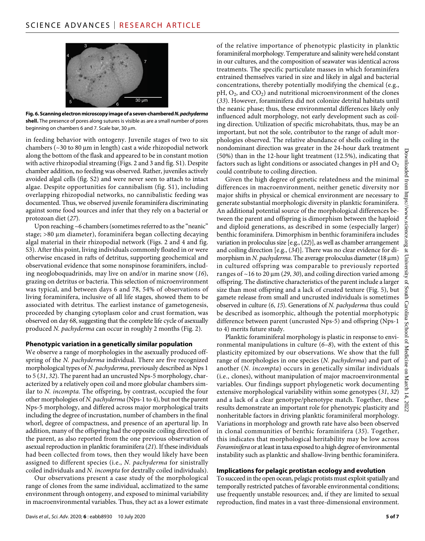

**Fig. 6. Scanning electron microscopy image of a seven-chambered** *N. pachyderma* **shell.** The presence of pores along sutures is visible as are a small number of pores beginning on chambers 6 and 7. Scale bar, 30  $\mu$ m.

in feeding behavior with ontogeny. Juvenile stages of two to six chambers ( $\sim$ 30 to 80 µm in length) cast a wide rhizopodial network along the bottom of the flask and appeared to be in constant motion with active rhizopodial streaming (Figs. 2 and 3 and fig. S1). Despite chamber addition, no feeding was observed. Rather, juveniles actively avoided algal cells (fig. S2) and were never seen to attach to intact algae. Despite opportunities for cannibalism (fig. S1), including overlapping rhizopodial networks, no cannibalistic feeding was documented. Thus, we observed juvenile foraminifera discriminating against some food sources and infer that they rely on a bacterial or protozoan diet (*27*).

Upon reaching ~6 chambers (sometimes referred to as the "neanic" stage;  $>80 \mu m$  diameter), foraminifera began collecting decaying algal material in their rhizopodial network (Figs. 2 and 4 and fig. S3). After this point, living individuals commonly floated in or were otherwise encased in rafts of detritus, supporting geochemical and observational evidence that some nonspinose foraminifers, including neogloboquadrinids, may live on and/or in marine snow (*16*), grazing on detritus or bacteria. This selection of microenvironment was typical, and between days 6 and 78, 54% of observations of living foraminifera, inclusive of all life stages, showed them to be associated with detritus. The earliest instance of gametogenesis, proceeded by changing cytoplasm color and crust formation, was observed on day 68, suggesting that the complete life cycle of asexually produced *N. pachyderma* can occur in roughly 2 months (Fig. 2).

#### **Phenotypic variation in a genetically similar population**

We observe a range of morphologies in the asexually produced offspring of the *N. pachyderma* individual. There are five recognized morphological types of *N. pachyderma*, previously described as Nps 1 to 5 (*31*, *32*). The parent had an uncrusted Nps-5 morphology, characterized by a relatively open coil and more globular chambers similar to *N. incompta*. The offspring, by contrast, occupied the four other morphologies of *N. pachyderma* (Nps-1 to 4), but not the parent Nps-5 morphology, and differed across major morphological traits including the degree of incrustation, number of chambers in the final whorl, degree of compactness, and presence of an apertural lip. In addition, many of the offspring had the opposite coiling direction of the parent, as also reported from the one previous observation of asexual reproduction in planktic foraminifera (*21*). If these individuals had been collected from tows, then they would likely have been assigned to different species (i.e., *N. pachyderma* for sinistrally coiled individuals and *N. incompta* for dextrally coiled individuals).

Our observations present a case study of the morphological range of clones from the same individual, acclimatized to the same environment through ontogeny, and exposed to minimal variability in macroenvironmental variables. Thus, they act as a lower estimate

could contribute to coiling direction. Given the high degree of genetic relatedness and the minimal differences in macroenvironment, neither genetic diversity nor major shifts in physical or chemical environment are necessary to generate substantial morphologic diversity in planktic foraminifera. An additional potential source of the morphological differences between the parent and offspring is dimorphism between the haploid and diploid generations, as described in some (especially larger) benthic foraminifera. Dimorphism in benthic foraminifera includes variation in proloculus size [e.g., (*22*)], as well as chamber arrangement and coiling direction [e.g., (*34*)]. There was no clear evidence for dimorphism in *N. pachyderma*. The average proloculus diameter (18  $\mu$ m) in cultured offspring was comparable to previously reported

ranges of  $\sim$  16 to 20  $\mu$ m (29, 30), and coiling direction varied among offspring. The distinctive characteristics of the parent include a larger size than most offspring and a lack of crusted texture (Fig. 5), but gamete release from small and uncrusted individuals is sometimes observed in culture (*6*, *15*). Generations of *N. pachyderma* thus could be described as isomorphic, although the potential morphotypic difference between parent (uncrusted Nps-5) and offspring (Nps-1 to 4) merits future study.

of the relative importance of phenotypic plasticity in planktic foraminiferal morphology. Temperature and salinity were held constant in our cultures, and the composition of seawater was identical across treatments. The specific particulate masses in which foraminifera entrained themselves varied in size and likely in algal and bacterial concentrations, thereby potentially modifying the chemical (e.g.,  $pH$ ,  $O_2$ , and  $CO_2$ ) and nutritional microenvironment of the clones (*33*). However, foraminifera did not colonize detrital habitats until the neanic phase; thus, these environmental differences likely only influenced adult morphology, not early development such as coiling direction. Utilization of specific microhabitats, thus, may be an important, but not the sole, contributor to the range of adult morphologies observed. The relative abundance of shells coiling in the nondominant direction was greater in the 24-hour dark treatment (50%) than in the 12-hour light treatment (12.5%), indicating that factors such as light conditions or associated changes in  $pH$  and  $O<sub>2</sub>$ 

Planktic foraminiferal morphology is plastic in response to environmental manipulations in culture (*6*–*8*), with the extent of this plasticity epitomized by our observations. We show that the full range of morphologies in one species (*N. pachyderma*) and part of another (*N. incompta*) occurs in genetically similar individuals (i.e., clones), without manipulation of major macroenvironmental variables. Our findings support phylogenetic work documenting extensive morphological variability within some genotypes (*31*, *32*) and a lack of a clear genotype/phenotype match. Together, these results demonstrate an important role for phenotypic plasticity and nonheritable factors in driving planktic foraminiferal morphology. Variations in morphology and growth rate have also been observed in clonal communities of benthic foraminifera (*35*). Together, this indicates that morphological heritability may be low across *Foraminifera* or at least in taxa exposed to a high degree of environmental instability such as planktic and shallow-living benthic foraminifera.

#### **Implications for pelagic protistan ecology and evolution**

To succeed in the open ocean, pelagic protists must exploit spatially and temporally restricted patches of favorable environmental conditions; use frequently unstable resources; and, if they are limited to sexual reproduction, find mates in a vast three-dimensional environment.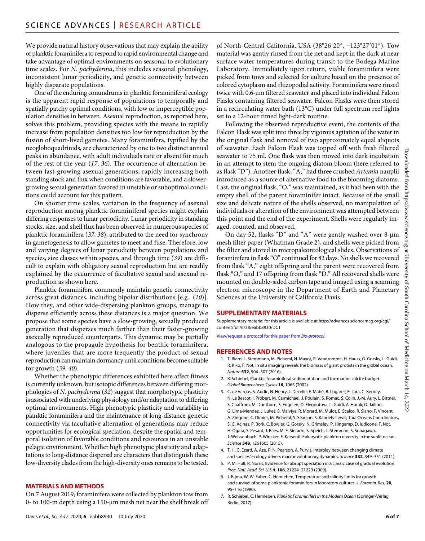We provide natural history observations that may explain the ability of planktic foraminifera to respond to rapid environmental change and take advantage of optimal environments on seasonal to evolutionary time scales. For *N. pachyderma*, this includes seasonal phenology, inconsistent lunar periodicity, and genetic connectivity between highly disparate populations.

One of the enduring conundrums in planktic foraminiferal ecology is the apparent rapid response of populations to temporally and spatially patchy optimal conditions, with low or imperceptible population densities in between. Asexual reproduction, as reported here, solves this problem, providing species with the means to rapidly increase from population densities too low for reproduction by the fusion of short-lived gametes. Many foraminifera, typified by the neogloboquadrinids, are characterized by one to two distinct annual peaks in abundance, with adult individuals rare or absent for much of the rest of the year (*17*, *36*). The occurrence of alternation between fast-growing asexual generations, rapidly increasing both standing stock and flux when conditions are favorable, and a slowergrowing sexual generation favored in unstable or suboptimal conditions could account for this pattern.

On shorter time scales, variation in the frequency of asexual reproduction among planktic foraminiferal species might explain differing responses to lunar periodicity. Lunar periodicity in standing stocks, size, and shell flux has been observed in numerous species of planktic foraminifera (*37*, *38*), attributed to the need for synchrony in gametogenesis to allow gametes to meet and fuse. Therefore, low and varying degrees of lunar periodicity between populations and species, size classes within species, and through time (*39*) are difficult to explain with obligatory sexual reproduction but are readily explained by the occurrence of facultative sexual and asexual reproduction as shown here.

Planktic foraminifera commonly maintain genetic connectivity across great distances, including bipolar distributions [e.g., (*10*)]. How they, and other wide-dispersing plankton groups, manage to disperse efficiently across these distances is a major question. We propose that some species have a slow-growing, sexually produced generation that disperses much farther than their faster-growing asexually reproduced counterparts. This dynamic may be partially analogous to the propagule hypothesis for benthic foraminifera, where juveniles that are more frequently the product of sexual reproduction can maintain dormancy until conditions become suitable for growth (*39*, *40*).

Whether the phenotypic differences exhibited here affect fitness is currently unknown, but isotopic differences between differing morphologies of *N. pachyderma* (*32*) suggest that morphotypic plasticity is associated with underlying physiology and/or adaptation to differing optimal environments. High phenotypic plasticity and variability in planktic foraminifera and the maintenance of long-distance genetic connectivity via facultative alternation of generations may reduce opportunities for ecological speciation, despite the spatial and temporal isolation of favorable conditions and resources in an unstable pelagic environment. Whether high phenotypic plasticity and adaptations to long-distance dispersal are characters that distinguish these low-diversity clades from the high-diversity ones remains to be tested.

#### **MATERIALS AND METHODS**

On 7 August 2019, foraminifera were collected by plankton tow from 0- to 100-m depth using a 150- $\mu$ m mesh net near the shelf break off

Davis *et al*., *Sci. Adv.* 2020; **6** : eabb8930 10 July 2020

of North-Central California, USA (38°26′20″, −123°27′01″). Tow material was gently rinsed from the net and kept in the dark at near surface water temperatures during transit to the Bodega Marine Laboratory. Immediately upon return, viable foraminifera were picked from tows and selected for culture based on the presence of colored cytoplasm and rhizopodial activity. Foraminifera were rinsed twice with 0.6-µm filtered seawater and placed into individual Falcon Flasks containing filtered seawater. Falcon Flasks were then stored in a recirculating water bath (13°C) under full spectrum reef lights set to a 12-hour timed light-dark routine.

Following the observed reproductive event, the contents of the Falcon Flask was split into three by vigorous agitation of the water in the original flask and removal of two approximately equal aliquots of seawater. Each Falcon Flask was topped off with fresh filtered seawater to 75 ml. One flask was then moved into dark incubation in an attempt to stem the ongoing diatom bloom (here referred to as flask "D"). Another flask, "A," had three crushed *Artemia* nauplii introduced as a source of alternative food to the blooming diatoms. Last, the original flask, "O," was maintained, as it had been with the empty shell of the parent foraminifer intact. Because of the small size and delicate nature of the shells observed, no manipulation of individuals or alteration of the environment was attempted between this point and the end of the experiment. Shells were regularly imaged, counted, and observed.

On day 52, flasks "D" and "A" were gently washed over  $8-\mu m$ mesh filter paper (Whatman Grade 2), and shells were picked from the filter and stored in micropaleontological slides. Observations of foraminifera in flask "O" continued for 82 days. No shells we recovered from flask "A," eight offspring and the parent were recovered from flask "O," and 17 offspring from flask "D." All recovered shells were mounted on double-sided carbon tape and imaged using a scanning electron microscope in the Department of Earth and Planetary Sciences at the University of California Davis.

#### **SUPPLEMENTARY MATERIALS**

Supplementary material for this article is available at [http://advances.sciencemag.org/cgi/](http://advances.sciencemag.org/cgi/content/full/6/28/eabb8930/DC1) [content/full/6/28/eabb8930/DC1](http://advances.sciencemag.org/cgi/content/full/6/28/eabb8930/DC1)

[View/request a protocol for this paper from](https://en.bio-protocol.org/cjrap.aspx?eid=10.1126/sciadv.abb8930) *Bio-protocol*.

#### **REFERENCES AND NOTES**

- 1. T. Biard, L. Stemmann, M. Picheral, N. Mayot, P. Vandromme, H. Hauss, G. Gorsky, L. Guidi, R. Kiko, F. Not, In situ imaging reveals the biomass of giant protists in the global ocean. *Nature* **532**, 504–507 (2016).
- 2. R. Schiebel, Planktic foraminiferal sedimentation and the marine calcite budget. *Global Biogeochem. Cycles* **16**, 1065 (2002).
- 3. C. de Vargas, S. Audic, N. Henry, J. Decelle, F. Mahé, R. Logares, E. Lara, C. Berney, N. Le Bescot, I. Probert, M. Carmichael, J. Poulain, S. Romac, S. Colin, J.-M. Aury, L. Bittner, S. Chaffrom, M. Dunthorn, S. Engelen, O. Flegontova, L. Guidi, A. Horák, O. Jaillon, G. Lima-Mendez, J. Lukeš, S. Malviya, R. Morard, M. Mulot, E. Scalco, R. Siano, F. Vincent, A. Zingone, C. Dimier, M. Picheral, S. Searson, S. Kandels-Lewis; Tara Oceans Coordinators, S. G. Acinas, P. Bork, C. Bowler, G. Gorsky, N. Grimsley, P. Hingamp, D. Iudicone, F. Not, H. Ogata, S. Pesant, J. Raes, M. E. Sieracki, S. Speich, L. Stemman, S. Sunagawa, J. Weissenbach, P. Wincker, E. Karsenti, Eukaryotic plankton diversity in the sunlit ocean. *Science* **348**, 1261605 (2015).
- 4. T. H. G. Ezard, A. Aze, P. N. Pearson, A. Purvis, Interplay between changing climate and species' ecology drivers macroevolutionary dynamics. *Science* **332**, 349–351 (2011).
- 5. P. M. Hull, R. Norris, Evidence for abrupt speciation in a classic case of gradual evolution. *Proc. Natl. Acad. Sci. U.S.A.* **106**, 21224–21229 (2009).
- 6. J. Bijma, W. W. Faber, C. Hemleben, Temperature and salinity limits for growth and survival ofsome planktonic foraminifers in laboratory cultures. *J. Foramin. Res.* **20**, 95–116 (1990).
- 7. R. Schiebel, C. Hemleben, *Planktic Foraminifers in the Modern Ocean* (Springer-Verlag, Berlin, 2017).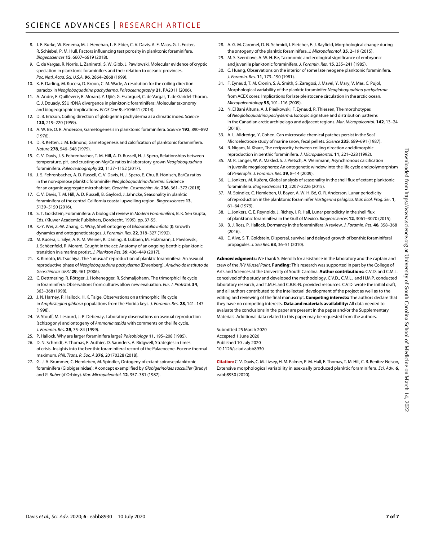- 8. J. E. Burke, W. Renema, M. J. Henehan, L. E. Elder, C. V. Davis, A. E. Maas, G. L. Foster, R. Schiebel, P. M. Hull, Factors influencing test porosity in planktonic foraminifera. *Biogeosciences* **15**, 6607–6619 (2018).
- 9. C. de Vargas, R. Norris, L. Zaninetti, S. W. Gibb, J. Pawlowski, Molecular evidence of cryptic speciation in planktonic foraminifers and their relation to oceanic provinces. *Poc. Natl. Acad. Sci. U.S.A.* **96**, 2864–2868 (1999).
- 10. K. F. Darling, M. Kucera, D. Kroon, C. M. Wade, A resolution for the coiling direction paradox in *Neogloboquadrina pachyderma*. *Paleoceanography* **21**, PA2011 (2006).
- 11. A. André, F. Quillévéré, R. Morard, Y. Ujiié, G. Escarguel, C. de Vargas, T. de Garidel-Thoron, C. J. Douady, SSU rDNA divergence in planktonic foraminifera: Molecular taxonomy and biogeographic implications. *PLOS One* **9**, e104641 (2014).
- 12. D. B. Ericson, Coiling direction of globigerina pachyderma as a climatic index. *Science* **130**, 219–220 (1959).
- 13. A. W. Bé, O. R. Anderson, Gametogenesis in planktonic foraminifera. *Science* **192**, 890–892 (1976).
- 14. D. R. Ketten, J. M. Edmond, Gametogenesis and calcification of planktonic foraminfiera. *Nature* **278**, 546–548 (1979).
- 15. C. V. Davis, J. S. Fehrenbacher, T. M. Hill, A. D. Russell, H. J. Spero, Relationships between temperature, pH, and crusting on Mg/Ca ratios in laboratory-grown *Neogloboquadrina* foraminifera. *Paleoceanography* **32**, 1137–1152 (2017).
- 16. J. S. Fehrenbacher, A. D. Russell, C. V. Davis, H. J. Spero, E. Chu, B. Hönisch, Ba/Ca ratios in the non-spinose planktic foraminifer *Neogloboquadrina dutertrei*: Evidence for an organic aggregate microhabitat. *Geochim. Cosmochim. Ac.* **236**, 361–372 (2018).
- 17. C. V. Davis, T. M. Hill, A. D. Russell, B. Gaylord, J. Jahncke, Seasonality in planktic foraminifera of the central California coastal upwelling region. *Biogeosciences* **13**, 5139–5150 (2016).
- 18. S. T. Goldstein, Foraminifera: A biological review in *Modern Foraminifera*, B. K. Sen Gupta, Eds. (Kluwer Academic Publishers, Dordrecht, 1999), pp. 37-55.
- 19. K.-Y. Wei, Z.-W. Zhang, C. Wray, Shell ontogeny of *Globorotalia inflata* (I): Growth dynamics and ontogenetic stages. *J. Foramin. Res.* **22**, 318–327 (1992).
- 20. M. Kucera, L. Silye, A. K. M. Weiner, K. Darling, B. Lübben, M. Holzmann, J. Pawlowski, J. Schöenfeld, R. Morard, Caught in the act: Anatomy of an ongoing benthic-planktonic transition in a marine protist. *J. Plankton Res.* **39**, 436–449 (2017).
- 21. K. Kimoto, M. Tsuchiya, The "unusual" reproduction of planktic foraminifera: An asexual reproductive phase of *Neogloboquadrina pachyderma* (Ehrenberg). *Anuário do Instituto de Geosciências UFRJ* **29**, 461 (2006).
- 22. C. Dettmering, R. Röttger, J. Hohenegger, R. Schmaljohann, The trimorphic life cycle in foraminifera: Observations from cultures allow new evaluation. *Eur. J. Protistol.* **34**, 363–368 (1998).
- 23. J. N. Harney, P. Hallock, H. K. Talge, Observations on a trimorphic life cycle in *Amphistegina gibbosa* populations from the Florida keys. *J. Foramin. Res.* **28**, 141–147 (1998).
- 24. V. Stouff, M. Lesourd, J.-P. Debenay, Laboratory observations on asexual reproduction (schizogony) and ontogeny of *Ammonia tepida* with comments on the life cycle. *J. Foramin. Res.* **29**, 75–84 (1999).
- 25. P. Hallock, Why are larger foraminifera large? *Paleobiology* **11**, 195–208 (1985).
- 26. D. N. Schmidt, E. Thomas, E. Authier, D. Saunders, A. Ridgwell, Strategies in times of crisis–Insights into the benthic foraminiferal record of the Palaeocene–Eocene thermal maximum. *Phil. Trans. R. Soc. A* **376**, 20170328 (2018).
- 27. G.-J. A. Brummer, C. Hemleben, M. Spindler, Ontogeny of extant spinose planktonic foraminifera (Globigerinidae): A concept exemplified by *Globigerinoides sacculifer* (Brady) and *G. Ruber* (d'Orbiny). *Mar. Micropaleontol.* **12**, 357–381 (1987).
- 28. A. G. M. Caromel, D. N. Schmidt, I. Fletcher, E. J. Rayfield, Morphological change during the ontogeny of the planktic foraminifera. *J. Micropaleontol.* **35**, 2–19 (2015).
- 29. M. S. Sverdlove, A. W. H. Be, Taxonomic and ecological significance of embryonic and juvenile planktonic foraminifera. *J. Foramin. Res.* **15**, 235–241 (1985).
- 30. C. Huang, Observations on the interior ofsome late neogene planktonic foraminifera. *J. Foramin. Res.* **11**, 173–190 (1981).
- 31. F. Eynaud, T. M. Cronin, S. A. Smith, S. Zaragosi, J. Mavel, Y. Mary, V. Mas, C. Pujol, Morphological variability of the planktic foraminifer *Neogloboquadrina pachyderma* from ACEX cores: Implications for late pleistocene circulation in the arctic ocean. *Micropaleontology* **55**, 101–116 (2009).
- 32. N. El Bani Altuna, A. J. Pieńkowski, F. Eynaud, R. Thiessen, The morphotypes of *Neogloboquadrina pachyderma*: Isotopic signature and distribution patterns in the Canadian arctic archipelago and adjacent regions. *Mar. Micropaleontol.* **142**, 13–24 (2018).
- 33. A. L. Alldredge, Y. Cohen, Can microscale chemical patches persist in the Sea? Microelectrode study of marine snow, fecal pellets. *Science* **235**, 689–691 (1987).
- 34. R. Nigam, N. Khare, The reciprocity between coiling direction and dimorphic reproduction in benthic foraminifera. *J. Micropaleontol.* **11**, 221–228 (1992).
- 35. M. R. Langer, W. A. Makled, S. J. Pietsch, A. Weinmann, Asynchronous calcification in juvenile megalospheres: An ontogenetic window into the life cycle and polymorphism of *Peneroplis*. *J. Foramin. Res.* **39**, 8–14 (2009).
- 36. L. Jonkers, M. Kučera, Global analysis of seasonality in the shell flux of extant planktonic foraminifera. *Biogeosciences* **12**, 2207–2226 (2015).
- 37. M. Spindler, C. Hemleben, U. Bayer, A. W. H. Bé, O. R. Anderson, Lunar periodicity of reproduction in the planktonic foraminifer *Hastigerina pelagica*. *Mar. Ecol. Prog. Ser.* **1**, 61–64 (1979).
- 38. L. Jonkers, C. E. Reynolds, J. Richey, I. R. Hall, Lunar periodicity in the shell flux of planktonic foraminifera in the Gulf of Mexico. *Biogeosciences* **12**, 3061–3070 (2015).
- 39. B. J. Ross, P. Hallock, Dormancy in the foraminifera: A review. *J. Foramin. Res.* **46**, 358–368 (2016).
- 40. E. Alve, S. T. Goldstein, Dispersal, survival and delayed growth of benthic foraminiferal propagules. *J. Sea Res.* **63**, 36–51 (2010).

**Acknowledgments:** We thank S. Merolla for assistance in the laboratory and the captain and crew of the *R/V Mussel Point*. **Funding:** This research was supported in part by the College of Arts and Sciences at the University of South Carolina. **Author contributions:** C.V.D. and C.M.L. conceived of the study and developed the methodology. C.V.D., C.M.L., and H.M.P. conducted laboratory research, and T.M.H. and C.R.B.-N. provided resources. C.V.D. wrote the initial draft, and all authors contributed to the intellectual development of the project as well as to the editing and reviewing of the final manuscript. **Competing interests:** The authors declare that they have no competing interests. **Data and materials availability:** All data needed to evaluate the conclusions in the paper are present in the paper and/or the Supplementary Materials. Additional data related to this paper may be requested from the authors.

Submitted 25 March 2020 Accepted 1 June 2020 Published 10 July 2020 10.1126/sciadv.abb8930

**Citation:** C. V. Davis, C. M. Livsey, H. M. Palmer, P. M. Hull, E. Thomas, T. M. Hill, C. R. Benitez-Nelson, Extensive morphological variability in asexually produced planktic foraminifera. *Sci. Adv.* **6**, eabb8930 (2020).